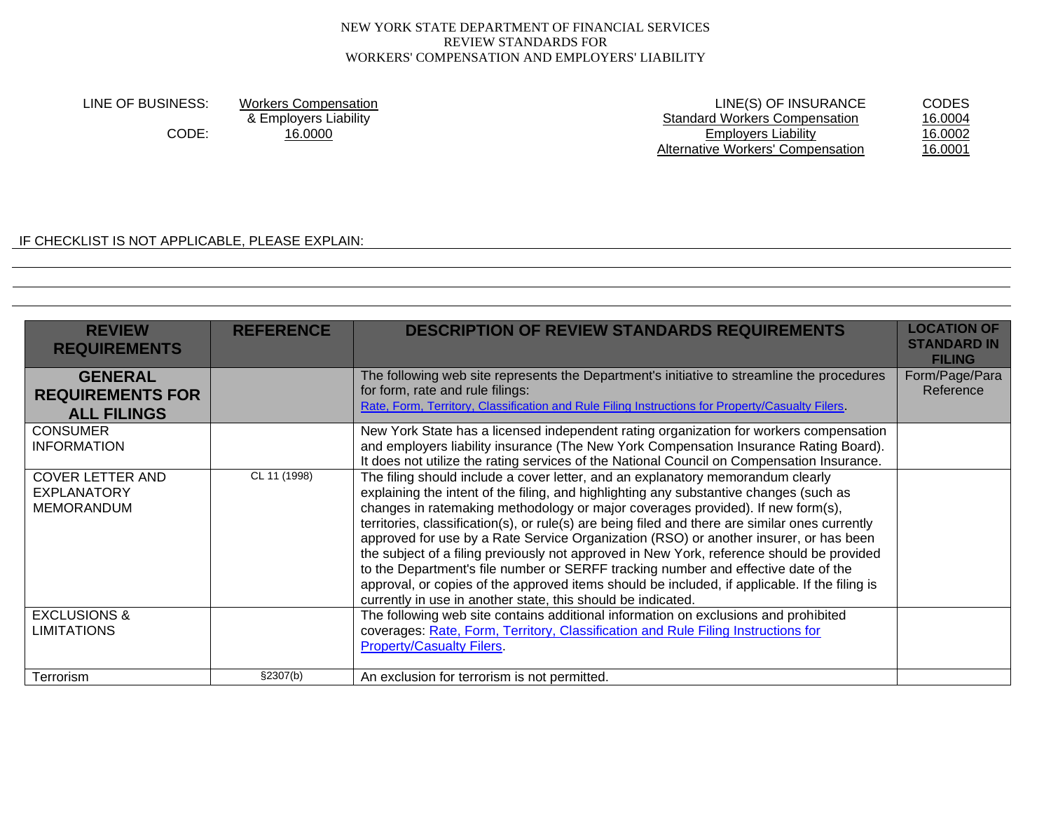LINE OF BUSINESS: Workers Compensation<br>
& Employers Liability **Examployers Conpensation**<br>
LINE(S) OF INSURANCE CODES<br>
Standard Workers Compensation 16.0004 ployers Liability de and the Standard Workers Compensation de 16.0004<br>16.0000 16.0000 Employers Liability 16.0002 CODE: 16.0000 16.0000 16.0002 Employers Liability 16.0002 Alternative Workers' Compensation

IF CHECKLIST IS NOT APPLICABLE, PLEASE EXPLAIN:

| <b>REVIEW</b><br><b>REQUIREMENTS</b>                               | <b>REFERENCE</b> | <b>DESCRIPTION OF REVIEW STANDARDS REQUIREMENTS</b>                                                                                                                                                                                                                                                                                                                                                                                                                                                                                                                                                                                                                                                                                                                                                          | <b>LOCATION OF</b><br><b>STANDARD IN</b><br><b>FILING</b> |
|--------------------------------------------------------------------|------------------|--------------------------------------------------------------------------------------------------------------------------------------------------------------------------------------------------------------------------------------------------------------------------------------------------------------------------------------------------------------------------------------------------------------------------------------------------------------------------------------------------------------------------------------------------------------------------------------------------------------------------------------------------------------------------------------------------------------------------------------------------------------------------------------------------------------|-----------------------------------------------------------|
| <b>GENERAL</b><br><b>REQUIREMENTS FOR</b><br><b>ALL FILINGS</b>    |                  | The following web site represents the Department's initiative to streamline the procedures<br>for form, rate and rule filings:<br>Rate, Form, Territory, Classification and Rule Filing Instructions for Property/Casualty Filers.                                                                                                                                                                                                                                                                                                                                                                                                                                                                                                                                                                           | Form/Page/Para<br>Reference                               |
| <b>CONSUMER</b><br><b>INFORMATION</b>                              |                  | New York State has a licensed independent rating organization for workers compensation<br>and employers liability insurance (The New York Compensation Insurance Rating Board).<br>It does not utilize the rating services of the National Council on Compensation Insurance.                                                                                                                                                                                                                                                                                                                                                                                                                                                                                                                                |                                                           |
| <b>COVER LETTER AND</b><br><b>EXPLANATORY</b><br><b>MEMORANDUM</b> | CL 11 (1998)     | The filing should include a cover letter, and an explanatory memorandum clearly<br>explaining the intent of the filing, and highlighting any substantive changes (such as<br>changes in ratemaking methodology or major coverages provided). If new form(s),<br>territories, classification(s), or rule(s) are being filed and there are similar ones currently<br>approved for use by a Rate Service Organization (RSO) or another insurer, or has been<br>the subject of a filing previously not approved in New York, reference should be provided<br>to the Department's file number or SERFF tracking number and effective date of the<br>approval, or copies of the approved items should be included, if applicable. If the filing is<br>currently in use in another state, this should be indicated. |                                                           |
| <b>EXCLUSIONS &amp;</b><br><b>LIMITATIONS</b>                      |                  | The following web site contains additional information on exclusions and prohibited<br>coverages: Rate, Form, Territory, Classification and Rule Filing Instructions for<br><b>Property/Casualty Filers.</b>                                                                                                                                                                                                                                                                                                                                                                                                                                                                                                                                                                                                 |                                                           |
| Terrorism                                                          | §2307(b)         | An exclusion for terrorism is not permitted.                                                                                                                                                                                                                                                                                                                                                                                                                                                                                                                                                                                                                                                                                                                                                                 |                                                           |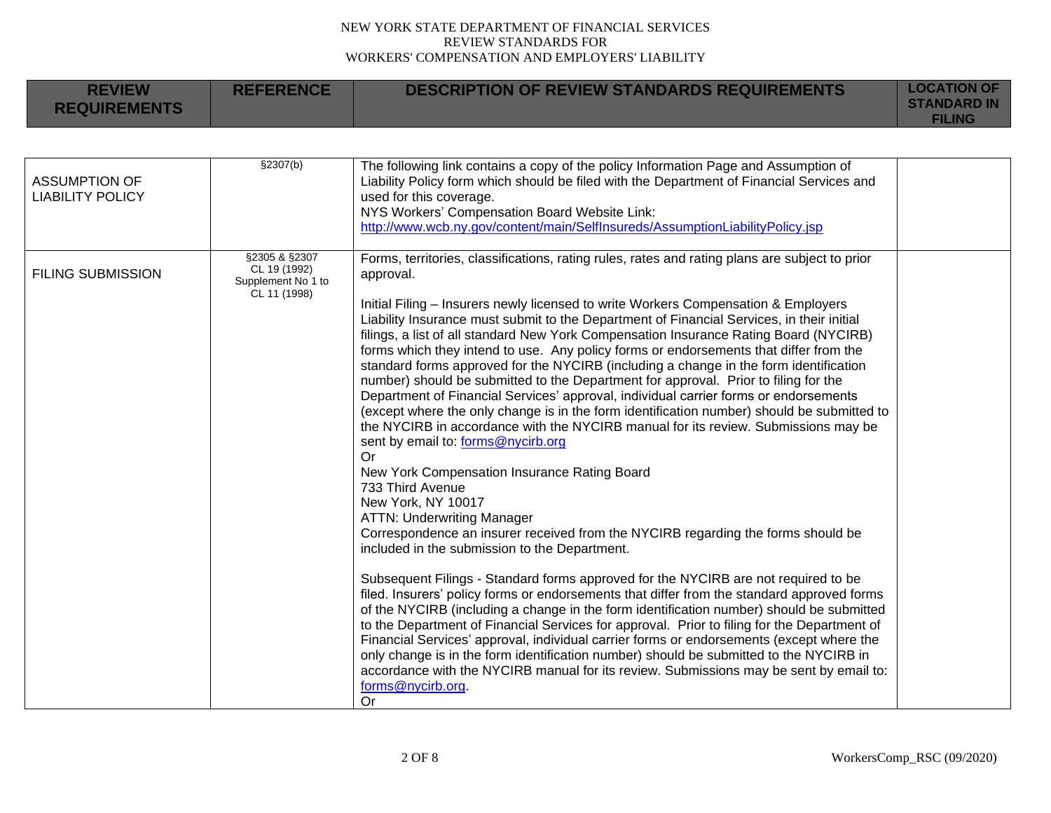| <b>REVIEW</b><br><b>REQUIREMENTS</b> | <b>REFERENCE</b>                                                    | <b>DESCRIPTION OF REVIEW STANDARDS REQUIREMENTS</b>                                                                                                                                                                                                                                                                                                                                                                                                                                                                                                                                                                                                                                                                                                                                                                                                                                                                                                                                                                                                                                                                                                                                                                                                                                                                                                                                                                                                                                                                                                                                                                                                                                                                                                                                                                                                                                                                                                    | <b>LOCATION OF</b><br><b>STANDARD IN</b><br><b>FILING</b> |
|--------------------------------------|---------------------------------------------------------------------|--------------------------------------------------------------------------------------------------------------------------------------------------------------------------------------------------------------------------------------------------------------------------------------------------------------------------------------------------------------------------------------------------------------------------------------------------------------------------------------------------------------------------------------------------------------------------------------------------------------------------------------------------------------------------------------------------------------------------------------------------------------------------------------------------------------------------------------------------------------------------------------------------------------------------------------------------------------------------------------------------------------------------------------------------------------------------------------------------------------------------------------------------------------------------------------------------------------------------------------------------------------------------------------------------------------------------------------------------------------------------------------------------------------------------------------------------------------------------------------------------------------------------------------------------------------------------------------------------------------------------------------------------------------------------------------------------------------------------------------------------------------------------------------------------------------------------------------------------------------------------------------------------------------------------------------------------------|-----------------------------------------------------------|
| <b>ASSUMPTION OF</b>                 | \$2307(b)                                                           | The following link contains a copy of the policy Information Page and Assumption of<br>Liability Policy form which should be filed with the Department of Financial Services and                                                                                                                                                                                                                                                                                                                                                                                                                                                                                                                                                                                                                                                                                                                                                                                                                                                                                                                                                                                                                                                                                                                                                                                                                                                                                                                                                                                                                                                                                                                                                                                                                                                                                                                                                                       |                                                           |
| <b>LIABILITY POLICY</b>              |                                                                     | used for this coverage.<br>NYS Workers' Compensation Board Website Link:<br>http://www.wcb.ny.gov/content/main/SelfInsureds/AssumptionLiabilityPolicy.jsp                                                                                                                                                                                                                                                                                                                                                                                                                                                                                                                                                                                                                                                                                                                                                                                                                                                                                                                                                                                                                                                                                                                                                                                                                                                                                                                                                                                                                                                                                                                                                                                                                                                                                                                                                                                              |                                                           |
| <b>FILING SUBMISSION</b>             | §2305 & §2307<br>CL 19 (1992)<br>Supplement No 1 to<br>CL 11 (1998) | Forms, territories, classifications, rating rules, rates and rating plans are subject to prior<br>approval.<br>Initial Filing - Insurers newly licensed to write Workers Compensation & Employers<br>Liability Insurance must submit to the Department of Financial Services, in their initial<br>filings, a list of all standard New York Compensation Insurance Rating Board (NYCIRB)<br>forms which they intend to use. Any policy forms or endorsements that differ from the<br>standard forms approved for the NYCIRB (including a change in the form identification<br>number) should be submitted to the Department for approval. Prior to filing for the<br>Department of Financial Services' approval, individual carrier forms or endorsements<br>(except where the only change is in the form identification number) should be submitted to<br>the NYCIRB in accordance with the NYCIRB manual for its review. Submissions may be<br>sent by email to: forms@nycirb.org<br>Or<br>New York Compensation Insurance Rating Board<br>733 Third Avenue<br>New York, NY 10017<br><b>ATTN: Underwriting Manager</b><br>Correspondence an insurer received from the NYCIRB regarding the forms should be<br>included in the submission to the Department.<br>Subsequent Filings - Standard forms approved for the NYCIRB are not required to be<br>filed. Insurers' policy forms or endorsements that differ from the standard approved forms<br>of the NYCIRB (including a change in the form identification number) should be submitted<br>to the Department of Financial Services for approval. Prior to filing for the Department of<br>Financial Services' approval, individual carrier forms or endorsements (except where the<br>only change is in the form identification number) should be submitted to the NYCIRB in<br>accordance with the NYCIRB manual for its review. Submissions may be sent by email to:<br>forms@nycirb.org.<br>Or |                                                           |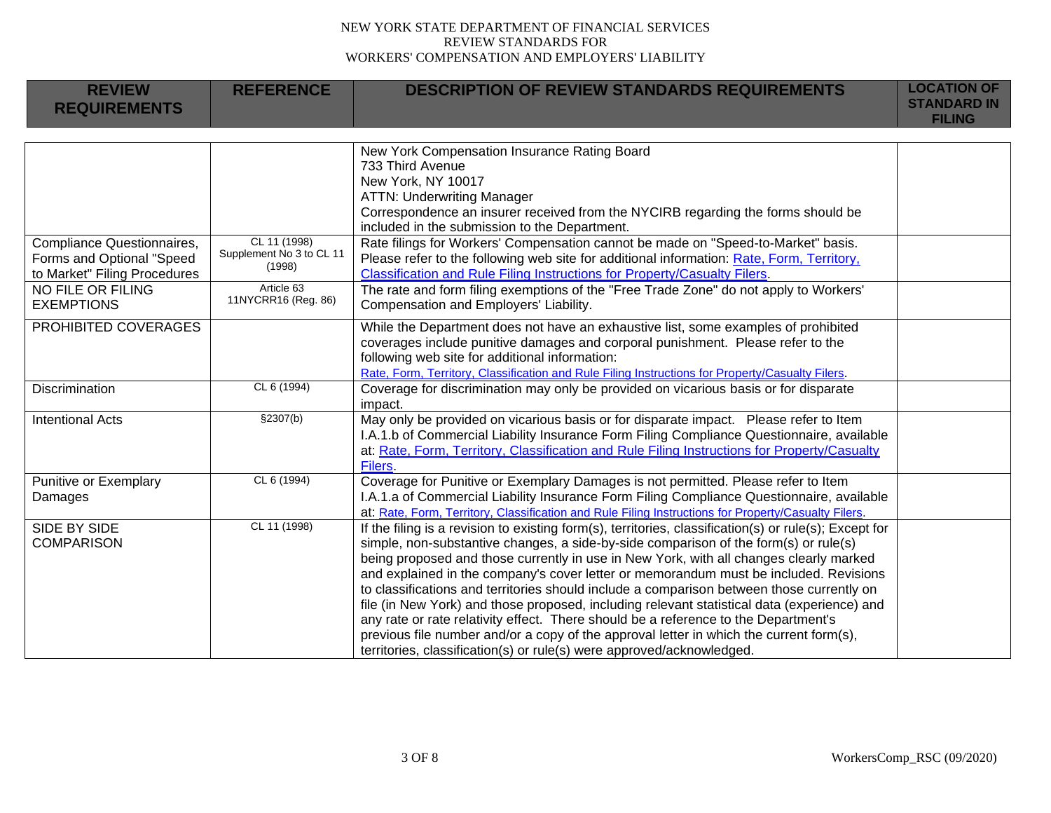| <b>REVIEW</b>                | <b>REFERENCE</b>                         | <b>DESCRIPTION OF REVIEW STANDARDS REQUIREMENTS</b>                                                                                                                                | <b>LOCATION OF</b>                  |
|------------------------------|------------------------------------------|------------------------------------------------------------------------------------------------------------------------------------------------------------------------------------|-------------------------------------|
| <b>REQUIREMENTS</b>          |                                          |                                                                                                                                                                                    | <b>STANDARD IN</b><br><b>FILING</b> |
|                              |                                          |                                                                                                                                                                                    |                                     |
|                              |                                          | New York Compensation Insurance Rating Board                                                                                                                                       |                                     |
|                              |                                          | 733 Third Avenue                                                                                                                                                                   |                                     |
|                              |                                          | New York, NY 10017                                                                                                                                                                 |                                     |
|                              |                                          | <b>ATTN: Underwriting Manager</b>                                                                                                                                                  |                                     |
|                              |                                          | Correspondence an insurer received from the NYCIRB regarding the forms should be                                                                                                   |                                     |
|                              |                                          | included in the submission to the Department.                                                                                                                                      |                                     |
| Compliance Questionnaires,   | CL 11 (1998)<br>Supplement No 3 to CL 11 | Rate filings for Workers' Compensation cannot be made on "Speed-to-Market" basis.                                                                                                  |                                     |
| Forms and Optional "Speed    | (1998)                                   | Please refer to the following web site for additional information: Rate, Form, Territory,                                                                                          |                                     |
| to Market" Filing Procedures |                                          | Classification and Rule Filing Instructions for Property/Casualty Filers.                                                                                                          |                                     |
| NO FILE OR FILING            | Article 63<br>11NYCRR16 (Reg. 86)        | The rate and form filing exemptions of the "Free Trade Zone" do not apply to Workers'                                                                                              |                                     |
| <b>EXEMPTIONS</b>            |                                          | Compensation and Employers' Liability.                                                                                                                                             |                                     |
| PROHIBITED COVERAGES         |                                          | While the Department does not have an exhaustive list, some examples of prohibited                                                                                                 |                                     |
|                              |                                          | coverages include punitive damages and corporal punishment. Please refer to the                                                                                                    |                                     |
|                              |                                          | following web site for additional information:                                                                                                                                     |                                     |
|                              |                                          | Rate, Form, Territory, Classification and Rule Filing Instructions for Property/Casualty Filers.                                                                                   |                                     |
| Discrimination               | CL 6 (1994)                              | Coverage for discrimination may only be provided on vicarious basis or for disparate                                                                                               |                                     |
|                              |                                          | impact.                                                                                                                                                                            |                                     |
| <b>Intentional Acts</b>      | \$2307(b)                                | May only be provided on vicarious basis or for disparate impact.  Please refer to Item                                                                                             |                                     |
|                              |                                          | I.A.1.b of Commercial Liability Insurance Form Filing Compliance Questionnaire, available                                                                                          |                                     |
|                              |                                          | at: Rate, Form, Territory, Classification and Rule Filing Instructions for Property/Casualty                                                                                       |                                     |
|                              |                                          | Filers.                                                                                                                                                                            |                                     |
| Punitive or Exemplary        | CL 6 (1994)                              | Coverage for Punitive or Exemplary Damages is not permitted. Please refer to Item                                                                                                  |                                     |
| Damages                      |                                          | I.A.1.a of Commercial Liability Insurance Form Filing Compliance Questionnaire, available                                                                                          |                                     |
|                              | CL 11 (1998)                             | at: Rate, Form, Territory, Classification and Rule Filing Instructions for Property/Casualty Filers.                                                                               |                                     |
| SIDE BY SIDE                 |                                          | If the filing is a revision to existing form(s), territories, classification(s) or rule(s); Except for                                                                             |                                     |
| <b>COMPARISON</b>            |                                          | simple, non-substantive changes, a side-by-side comparison of the form(s) or rule(s)                                                                                               |                                     |
|                              |                                          | being proposed and those currently in use in New York, with all changes clearly marked                                                                                             |                                     |
|                              |                                          | and explained in the company's cover letter or memorandum must be included. Revisions                                                                                              |                                     |
|                              |                                          | to classifications and territories should include a comparison between those currently on                                                                                          |                                     |
|                              |                                          | file (in New York) and those proposed, including relevant statistical data (experience) and<br>any rate or rate relativity effect. There should be a reference to the Department's |                                     |
|                              |                                          | previous file number and/or a copy of the approval letter in which the current form(s),                                                                                            |                                     |
|                              |                                          |                                                                                                                                                                                    |                                     |
|                              |                                          | territories, classification(s) or rule(s) were approved/acknowledged.                                                                                                              |                                     |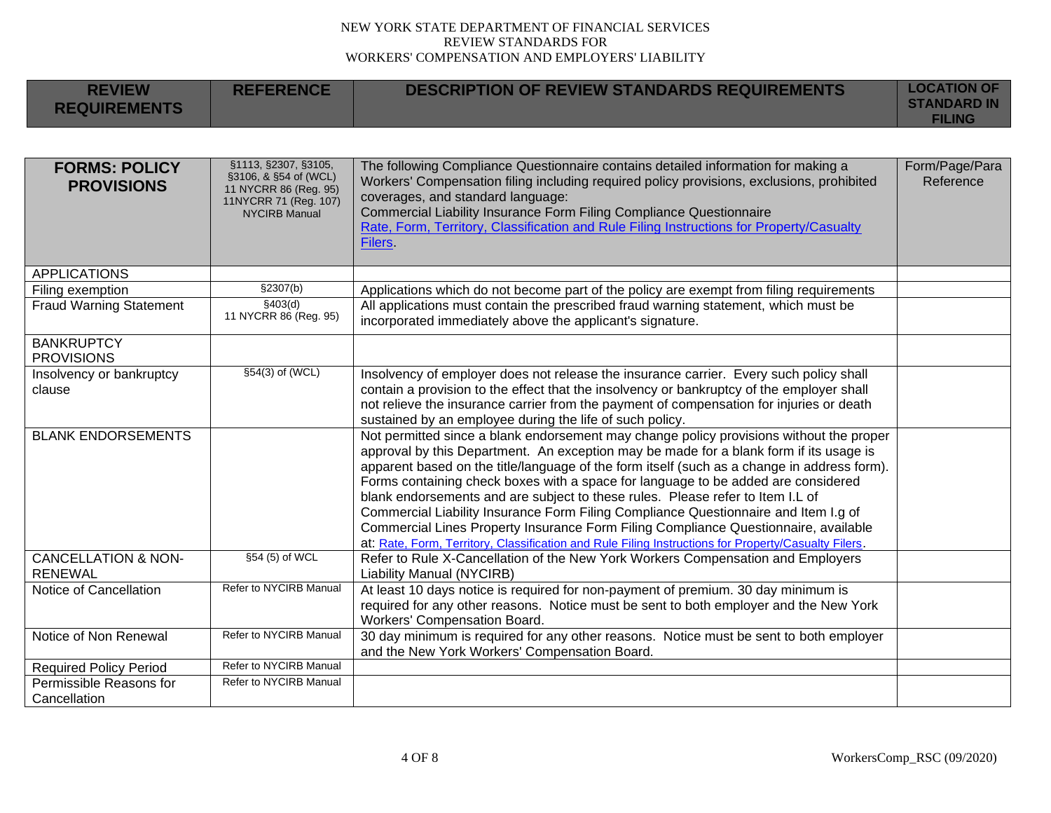**REFERENCE DESCRIPTION OF REVIEW STANDARDS REQUIREMENTS LOCATION OF** 

**REVIEW** 

| <b>REQUIREMENTS</b>                              |                                                                                                                         |                                                                                                                                                                                                                                                                                                                                                                                                                                                                                                                                                                                                                                                                                                                                               | <b>STANDARD IN</b><br><b>FILING</b> |
|--------------------------------------------------|-------------------------------------------------------------------------------------------------------------------------|-----------------------------------------------------------------------------------------------------------------------------------------------------------------------------------------------------------------------------------------------------------------------------------------------------------------------------------------------------------------------------------------------------------------------------------------------------------------------------------------------------------------------------------------------------------------------------------------------------------------------------------------------------------------------------------------------------------------------------------------------|-------------------------------------|
|                                                  |                                                                                                                         |                                                                                                                                                                                                                                                                                                                                                                                                                                                                                                                                                                                                                                                                                                                                               |                                     |
| <b>FORMS: POLICY</b><br><b>PROVISIONS</b>        | §1113, §2307, §3105,<br>§3106, & §54 of (WCL)<br>11 NYCRR 86 (Reg. 95)<br>11NYCRR 71 (Reg. 107)<br><b>NYCIRB Manual</b> | The following Compliance Questionnaire contains detailed information for making a<br>Workers' Compensation filing including required policy provisions, exclusions, prohibited<br>coverages, and standard language:<br>Commercial Liability Insurance Form Filing Compliance Questionnaire<br>Rate, Form, Territory, Classification and Rule Filing Instructions for Property/Casualty<br>Filers                                                                                                                                                                                                                                                                                                                                              | Form/Page/Para<br>Reference         |
| <b>APPLICATIONS</b>                              |                                                                                                                         |                                                                                                                                                                                                                                                                                                                                                                                                                                                                                                                                                                                                                                                                                                                                               |                                     |
| Filing exemption                                 | \$2307(b)                                                                                                               | Applications which do not become part of the policy are exempt from filing requirements                                                                                                                                                                                                                                                                                                                                                                                                                                                                                                                                                                                                                                                       |                                     |
| <b>Fraud Warning Statement</b>                   | \$403(d)<br>11 NYCRR 86 (Reg. 95)                                                                                       | All applications must contain the prescribed fraud warning statement, which must be<br>incorporated immediately above the applicant's signature.                                                                                                                                                                                                                                                                                                                                                                                                                                                                                                                                                                                              |                                     |
| <b>BANKRUPTCY</b><br><b>PROVISIONS</b>           |                                                                                                                         |                                                                                                                                                                                                                                                                                                                                                                                                                                                                                                                                                                                                                                                                                                                                               |                                     |
| Insolvency or bankruptcy<br>clause               | §54(3) of (WCL)                                                                                                         | Insolvency of employer does not release the insurance carrier. Every such policy shall<br>contain a provision to the effect that the insolvency or bankruptcy of the employer shall<br>not relieve the insurance carrier from the payment of compensation for injuries or death<br>sustained by an employee during the life of such policy.                                                                                                                                                                                                                                                                                                                                                                                                   |                                     |
| <b>BLANK ENDORSEMENTS</b>                        |                                                                                                                         | Not permitted since a blank endorsement may change policy provisions without the proper<br>approval by this Department. An exception may be made for a blank form if its usage is<br>apparent based on the title/language of the form itself (such as a change in address form).<br>Forms containing check boxes with a space for language to be added are considered<br>blank endorsements and are subject to these rules. Please refer to Item I.L of<br>Commercial Liability Insurance Form Filing Compliance Questionnaire and Item I.g of<br>Commercial Lines Property Insurance Form Filing Compliance Questionnaire, available<br>at: Rate, Form, Territory, Classification and Rule Filing Instructions for Property/Casualty Filers. |                                     |
| <b>CANCELLATION &amp; NON-</b><br><b>RENEWAL</b> | §54 (5) of WCL                                                                                                          | Refer to Rule X-Cancellation of the New York Workers Compensation and Employers<br><b>Liability Manual (NYCIRB)</b>                                                                                                                                                                                                                                                                                                                                                                                                                                                                                                                                                                                                                           |                                     |
| Notice of Cancellation                           | Refer to NYCIRB Manual                                                                                                  | At least 10 days notice is required for non-payment of premium. 30 day minimum is<br>required for any other reasons. Notice must be sent to both employer and the New York<br><b>Workers' Compensation Board.</b>                                                                                                                                                                                                                                                                                                                                                                                                                                                                                                                             |                                     |
| Notice of Non Renewal                            | Refer to NYCIRB Manual                                                                                                  | 30 day minimum is required for any other reasons. Notice must be sent to both employer<br>and the New York Workers' Compensation Board.                                                                                                                                                                                                                                                                                                                                                                                                                                                                                                                                                                                                       |                                     |
| <b>Required Policy Period</b>                    | Refer to NYCIRB Manual                                                                                                  |                                                                                                                                                                                                                                                                                                                                                                                                                                                                                                                                                                                                                                                                                                                                               |                                     |
| Permissible Reasons for<br>Cancellation          | Refer to NYCIRB Manual                                                                                                  |                                                                                                                                                                                                                                                                                                                                                                                                                                                                                                                                                                                                                                                                                                                                               |                                     |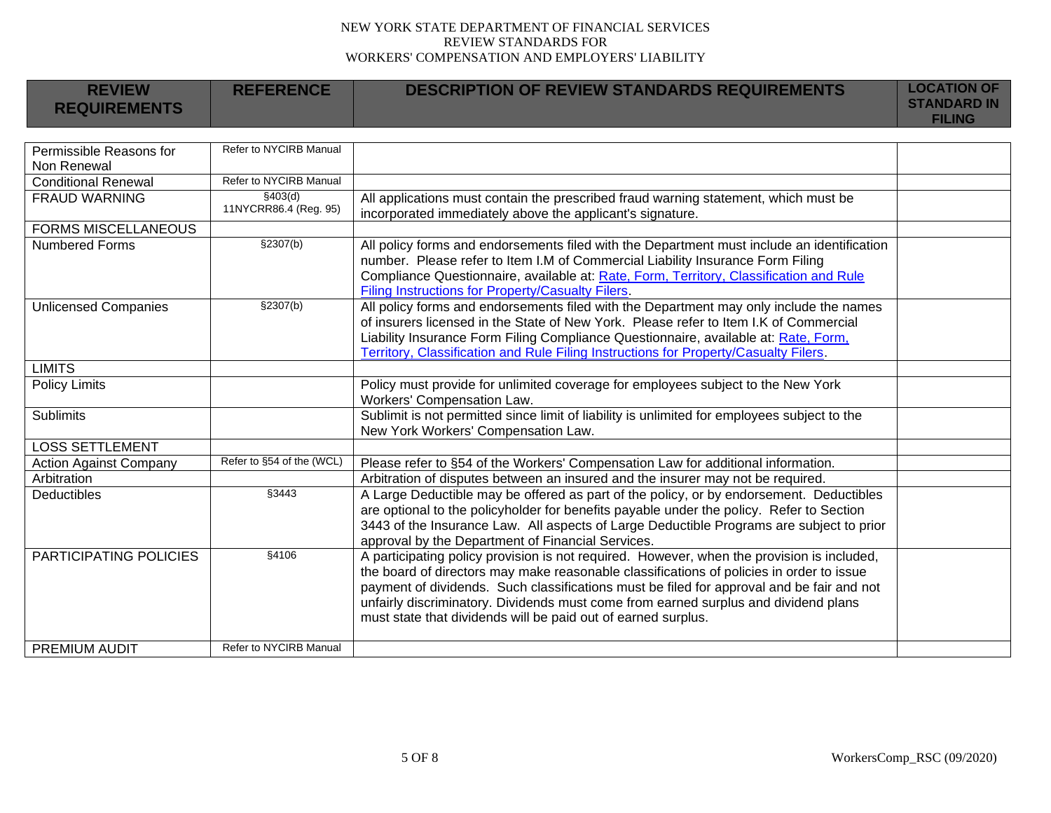| <b>REVIEW</b>                          | <b>REFERENCE</b>                  | <b>DESCRIPTION OF REVIEW STANDARDS REQUIREMENTS</b>                                                                                                                                                                                                                                                                                                                                                                                         | <b>LOCATION OF</b><br><b>STANDARD IN</b> |
|----------------------------------------|-----------------------------------|---------------------------------------------------------------------------------------------------------------------------------------------------------------------------------------------------------------------------------------------------------------------------------------------------------------------------------------------------------------------------------------------------------------------------------------------|------------------------------------------|
| <b>REQUIREMENTS</b>                    |                                   |                                                                                                                                                                                                                                                                                                                                                                                                                                             | <b>FILING</b>                            |
|                                        |                                   |                                                                                                                                                                                                                                                                                                                                                                                                                                             |                                          |
| Permissible Reasons for<br>Non Renewal | Refer to NYCIRB Manual            |                                                                                                                                                                                                                                                                                                                                                                                                                                             |                                          |
| <b>Conditional Renewal</b>             | Refer to NYCIRB Manual            |                                                                                                                                                                                                                                                                                                                                                                                                                                             |                                          |
| <b>FRAUD WARNING</b>                   | \$403(d)<br>11NYCRR86.4 (Reg. 95) | All applications must contain the prescribed fraud warning statement, which must be<br>incorporated immediately above the applicant's signature.                                                                                                                                                                                                                                                                                            |                                          |
| <b>FORMS MISCELLANEOUS</b>             |                                   |                                                                                                                                                                                                                                                                                                                                                                                                                                             |                                          |
| <b>Numbered Forms</b>                  | \$2307(b)                         | All policy forms and endorsements filed with the Department must include an identification<br>number. Please refer to Item I.M of Commercial Liability Insurance Form Filing<br>Compliance Questionnaire, available at: Rate, Form, Territory, Classification and Rule<br>Filing Instructions for Property/Casualty Filers.                                                                                                                 |                                          |
| <b>Unlicensed Companies</b>            | §2307(b)                          | All policy forms and endorsements filed with the Department may only include the names<br>of insurers licensed in the State of New York. Please refer to Item I.K of Commercial<br>Liability Insurance Form Filing Compliance Questionnaire, available at: Rate, Form,<br>Territory, Classification and Rule Filing Instructions for Property/Casualty Filers.                                                                              |                                          |
| <b>LIMITS</b>                          |                                   |                                                                                                                                                                                                                                                                                                                                                                                                                                             |                                          |
| <b>Policy Limits</b>                   |                                   | Policy must provide for unlimited coverage for employees subject to the New York<br>Workers' Compensation Law.                                                                                                                                                                                                                                                                                                                              |                                          |
| <b>Sublimits</b>                       |                                   | Sublimit is not permitted since limit of liability is unlimited for employees subject to the<br>New York Workers' Compensation Law.                                                                                                                                                                                                                                                                                                         |                                          |
| <b>LOSS SETTLEMENT</b>                 |                                   |                                                                                                                                                                                                                                                                                                                                                                                                                                             |                                          |
| <b>Action Against Company</b>          | Refer to §54 of the (WCL)         | Please refer to §54 of the Workers' Compensation Law for additional information.                                                                                                                                                                                                                                                                                                                                                            |                                          |
| Arbitration                            |                                   | Arbitration of disputes between an insured and the insurer may not be required.                                                                                                                                                                                                                                                                                                                                                             |                                          |
| Deductibles                            | §3443                             | A Large Deductible may be offered as part of the policy, or by endorsement. Deductibles<br>are optional to the policyholder for benefits payable under the policy. Refer to Section<br>3443 of the Insurance Law. All aspects of Large Deductible Programs are subject to prior<br>approval by the Department of Financial Services.                                                                                                        |                                          |
| PARTICIPATING POLICIES                 | §4106                             | A participating policy provision is not required. However, when the provision is included,<br>the board of directors may make reasonable classifications of policies in order to issue<br>payment of dividends. Such classifications must be filed for approval and be fair and not<br>unfairly discriminatory. Dividends must come from earned surplus and dividend plans<br>must state that dividends will be paid out of earned surplus. |                                          |
| <b>PREMIUM AUDIT</b>                   | Refer to NYCIRB Manual            |                                                                                                                                                                                                                                                                                                                                                                                                                                             |                                          |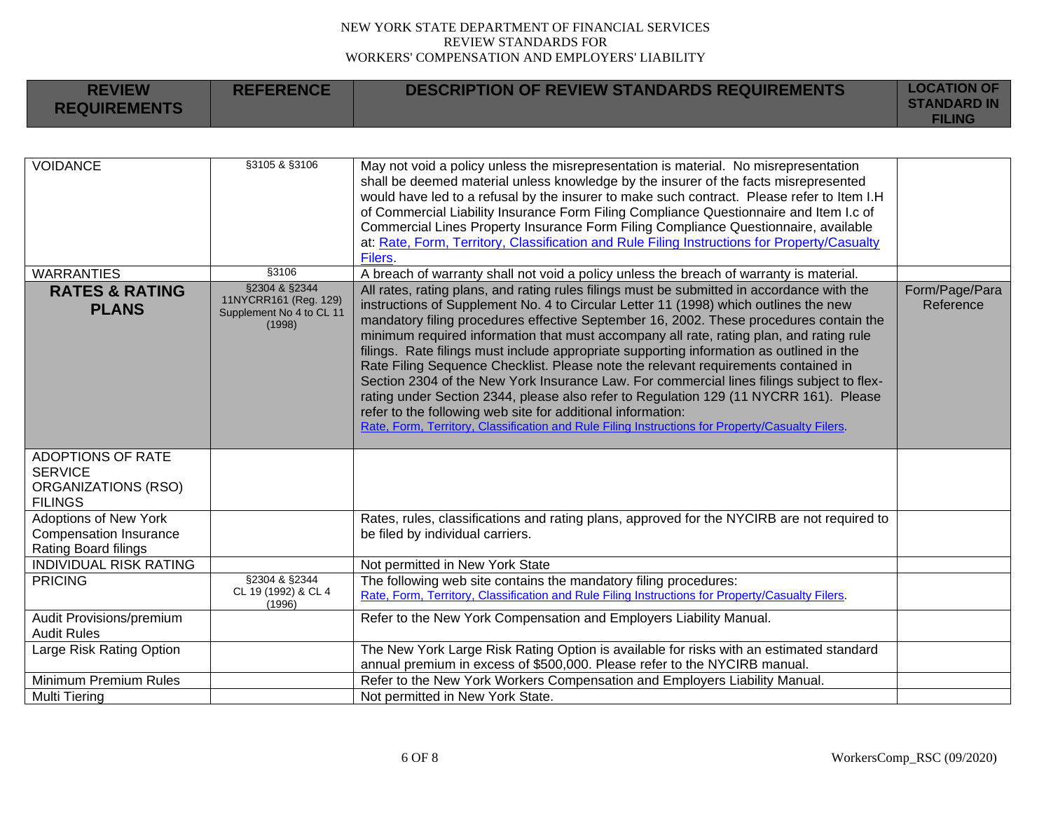| <b>REVIEW</b><br><b>REQUIREMENTS</b>                                                       | <b>REFERENCE</b>                                                             | <b>DESCRIPTION OF REVIEW STANDARDS REQUIREMENTS</b>                                                                                                                                                                                                                                                                                                                                                                                                                                                                                                                                                                                                                                                                                                                                                                                                                                                                | <b>LOCATION OF</b><br><b>STANDARD IN</b><br><b>FILING</b> |
|--------------------------------------------------------------------------------------------|------------------------------------------------------------------------------|--------------------------------------------------------------------------------------------------------------------------------------------------------------------------------------------------------------------------------------------------------------------------------------------------------------------------------------------------------------------------------------------------------------------------------------------------------------------------------------------------------------------------------------------------------------------------------------------------------------------------------------------------------------------------------------------------------------------------------------------------------------------------------------------------------------------------------------------------------------------------------------------------------------------|-----------------------------------------------------------|
|                                                                                            |                                                                              |                                                                                                                                                                                                                                                                                                                                                                                                                                                                                                                                                                                                                                                                                                                                                                                                                                                                                                                    |                                                           |
| <b>VOIDANCE</b>                                                                            | §3105 & §3106                                                                | May not void a policy unless the misrepresentation is material. No misrepresentation<br>shall be deemed material unless knowledge by the insurer of the facts misrepresented<br>would have led to a refusal by the insurer to make such contract. Please refer to Item I.H<br>of Commercial Liability Insurance Form Filing Compliance Questionnaire and Item I.c of<br>Commercial Lines Property Insurance Form Filing Compliance Questionnaire, available<br>at: Rate, Form, Territory, Classification and Rule Filing Instructions for Property/Casualty<br>Filers.                                                                                                                                                                                                                                                                                                                                             |                                                           |
| <b>WARRANTIES</b>                                                                          | §3106                                                                        | A breach of warranty shall not void a policy unless the breach of warranty is material.                                                                                                                                                                                                                                                                                                                                                                                                                                                                                                                                                                                                                                                                                                                                                                                                                            |                                                           |
| <b>RATES &amp; RATING</b><br><b>PLANS</b>                                                  | §2304 & §2344<br>11NYCRR161 (Reg. 129)<br>Supplement No 4 to CL 11<br>(1998) | All rates, rating plans, and rating rules filings must be submitted in accordance with the<br>instructions of Supplement No. 4 to Circular Letter 11 (1998) which outlines the new<br>mandatory filing procedures effective September 16, 2002. These procedures contain the<br>minimum required information that must accompany all rate, rating plan, and rating rule<br>filings. Rate filings must include appropriate supporting information as outlined in the<br>Rate Filing Sequence Checklist. Please note the relevant requirements contained in<br>Section 2304 of the New York Insurance Law. For commercial lines filings subject to flex-<br>rating under Section 2344, please also refer to Regulation 129 (11 NYCRR 161). Please<br>refer to the following web site for additional information:<br>Rate, Form, Territory, Classification and Rule Filing Instructions for Property/Casualty Filers. | Form/Page/Para<br>Reference                               |
| <b>ADOPTIONS OF RATE</b><br><b>SERVICE</b><br><b>ORGANIZATIONS (RSO)</b><br><b>FILINGS</b> |                                                                              |                                                                                                                                                                                                                                                                                                                                                                                                                                                                                                                                                                                                                                                                                                                                                                                                                                                                                                                    |                                                           |
| <b>Adoptions of New York</b><br><b>Compensation Insurance</b><br>Rating Board filings      |                                                                              | Rates, rules, classifications and rating plans, approved for the NYCIRB are not required to<br>be filed by individual carriers.                                                                                                                                                                                                                                                                                                                                                                                                                                                                                                                                                                                                                                                                                                                                                                                    |                                                           |
| <b>INDIVIDUAL RISK RATING</b>                                                              |                                                                              | Not permitted in New York State                                                                                                                                                                                                                                                                                                                                                                                                                                                                                                                                                                                                                                                                                                                                                                                                                                                                                    |                                                           |
| <b>PRICING</b>                                                                             | §2304 & §2344<br>CL 19 (1992) & CL 4<br>(1996)                               | The following web site contains the mandatory filing procedures:<br>Rate, Form, Territory, Classification and Rule Filing Instructions for Property/Casualty Filers.                                                                                                                                                                                                                                                                                                                                                                                                                                                                                                                                                                                                                                                                                                                                               |                                                           |
| Audit Provisions/premium                                                                   |                                                                              | Refer to the New York Compensation and Employers Liability Manual.                                                                                                                                                                                                                                                                                                                                                                                                                                                                                                                                                                                                                                                                                                                                                                                                                                                 |                                                           |
| <b>Audit Rules</b>                                                                         |                                                                              |                                                                                                                                                                                                                                                                                                                                                                                                                                                                                                                                                                                                                                                                                                                                                                                                                                                                                                                    |                                                           |
| Large Risk Rating Option                                                                   |                                                                              | The New York Large Risk Rating Option is available for risks with an estimated standard<br>annual premium in excess of \$500,000. Please refer to the NYCIRB manual.                                                                                                                                                                                                                                                                                                                                                                                                                                                                                                                                                                                                                                                                                                                                               |                                                           |
| Minimum Premium Rules                                                                      |                                                                              | Refer to the New York Workers Compensation and Employers Liability Manual.                                                                                                                                                                                                                                                                                                                                                                                                                                                                                                                                                                                                                                                                                                                                                                                                                                         |                                                           |
| <b>Multi Tiering</b>                                                                       |                                                                              | Not permitted in New York State.                                                                                                                                                                                                                                                                                                                                                                                                                                                                                                                                                                                                                                                                                                                                                                                                                                                                                   |                                                           |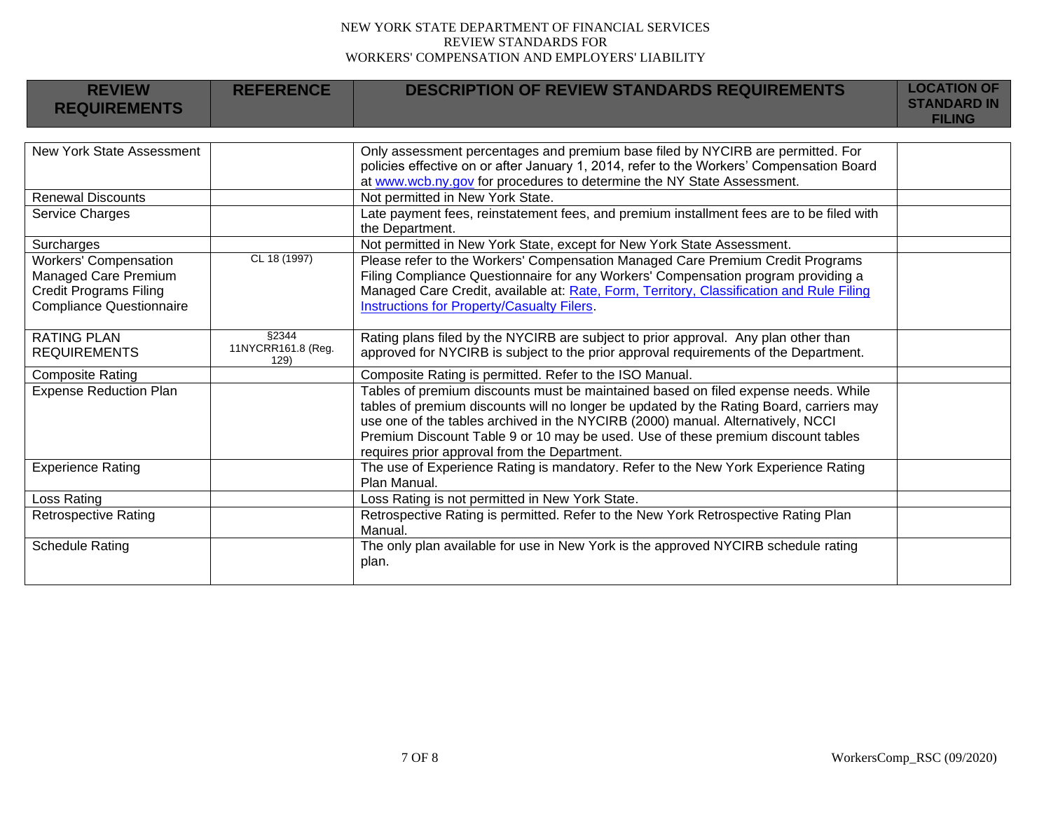| <b>REVIEW</b><br><b>REQUIREMENTS</b>                                                                                     | <b>REFERENCE</b>                    | <b>DESCRIPTION OF REVIEW STANDARDS REQUIREMENTS</b>                                                                                                                                                                                                                                                                                                                                                  | <b>LOCATION OF</b><br><b>STANDARD IN</b><br><b>FILING</b> |
|--------------------------------------------------------------------------------------------------------------------------|-------------------------------------|------------------------------------------------------------------------------------------------------------------------------------------------------------------------------------------------------------------------------------------------------------------------------------------------------------------------------------------------------------------------------------------------------|-----------------------------------------------------------|
| New York State Assessment                                                                                                |                                     | Only assessment percentages and premium base filed by NYCIRB are permitted. For<br>policies effective on or after January 1, 2014, refer to the Workers' Compensation Board<br>at www.wcb.ny.gov for procedures to determine the NY State Assessment.                                                                                                                                                |                                                           |
| <b>Renewal Discounts</b>                                                                                                 |                                     | Not permitted in New York State.                                                                                                                                                                                                                                                                                                                                                                     |                                                           |
| Service Charges                                                                                                          |                                     | Late payment fees, reinstatement fees, and premium installment fees are to be filed with<br>the Department.                                                                                                                                                                                                                                                                                          |                                                           |
| Surcharges                                                                                                               |                                     | Not permitted in New York State, except for New York State Assessment.                                                                                                                                                                                                                                                                                                                               |                                                           |
| <b>Workers' Compensation</b><br>Managed Care Premium<br><b>Credit Programs Filing</b><br><b>Compliance Questionnaire</b> | CL 18 (1997)                        | Please refer to the Workers' Compensation Managed Care Premium Credit Programs<br>Filing Compliance Questionnaire for any Workers' Compensation program providing a<br>Managed Care Credit, available at: Rate, Form, Territory, Classification and Rule Filing<br>Instructions for Property/Casualty Filers.                                                                                        |                                                           |
| <b>RATING PLAN</b><br><b>REQUIREMENTS</b>                                                                                | §2344<br>11NYCRR161.8 (Reg.<br>129) | Rating plans filed by the NYCIRB are subject to prior approval. Any plan other than<br>approved for NYCIRB is subject to the prior approval requirements of the Department.                                                                                                                                                                                                                          |                                                           |
| <b>Composite Rating</b>                                                                                                  |                                     | Composite Rating is permitted. Refer to the ISO Manual.                                                                                                                                                                                                                                                                                                                                              |                                                           |
| <b>Expense Reduction Plan</b>                                                                                            |                                     | Tables of premium discounts must be maintained based on filed expense needs. While<br>tables of premium discounts will no longer be updated by the Rating Board, carriers may<br>use one of the tables archived in the NYCIRB (2000) manual. Alternatively, NCCI<br>Premium Discount Table 9 or 10 may be used. Use of these premium discount tables<br>requires prior approval from the Department. |                                                           |
| <b>Experience Rating</b>                                                                                                 |                                     | The use of Experience Rating is mandatory. Refer to the New York Experience Rating<br>Plan Manual.                                                                                                                                                                                                                                                                                                   |                                                           |
| Loss Rating                                                                                                              |                                     | Loss Rating is not permitted in New York State.                                                                                                                                                                                                                                                                                                                                                      |                                                           |
| <b>Retrospective Rating</b>                                                                                              |                                     | Retrospective Rating is permitted. Refer to the New York Retrospective Rating Plan<br>Manual.                                                                                                                                                                                                                                                                                                        |                                                           |
| <b>Schedule Rating</b>                                                                                                   |                                     | The only plan available for use in New York is the approved NYCIRB schedule rating<br>plan.                                                                                                                                                                                                                                                                                                          |                                                           |